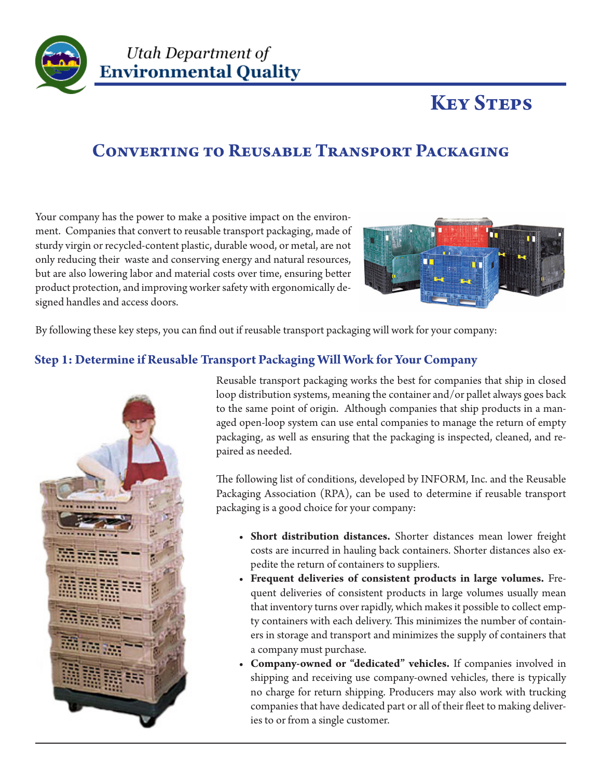

### Utah Department of **Environmental Quality**

# **Key Steps**

## **Converting to Reusable Transport Packaging**

Your company has the power to make a positive impact on the environment. Companies that convert to reusable transport packaging, made of sturdy virgin or recycled-content plastic, durable wood, or metal, are not only reducing their waste and conserving energy and natural resources, but are also lowering labor and material costs over time, ensuring better product protection, and improving worker safety with ergonomically designed handles and access doors.



By following these key steps, you can find out if reusable transport packaging will work for your company:

### **Step 1: Determine if Reusable Transport Packaging Will Work for Your Company**



Reusable transport packaging works the best for companies that ship in closed loop distribution systems, meaning the container and/or pallet always goes back to the same point of origin. Although companies that ship products in a managed open-loop system can use ental companies to manage the return of empty packaging, as well as ensuring that the packaging is inspected, cleaned, and repaired as needed.

The following list of conditions, developed by INFORM, Inc. and the Reusable Packaging Association (RPA), can be used to determine if reusable transport packaging is a good choice for your company:

- **• Short distribution distances.** Shorter distances mean lower freight costs are incurred in hauling back containers. Shorter distances also expedite the return of containers to suppliers.
- **• Frequent deliveries of consistent products in large volumes.** Frequent deliveries of consistent products in large volumes usually mean that inventory turns over rapidly, which makes it possible to collect empty containers with each delivery. This minimizes the number of containers in storage and transport and minimizes the supply of containers that a company must purchase.
- **• Company-owned or "dedicated" vehicles.** If companies involved in shipping and receiving use company-owned vehicles, there is typically no charge for return shipping. Producers may also work with trucking companies that have dedicated part or all of their fleet to making deliveries to or from a single customer.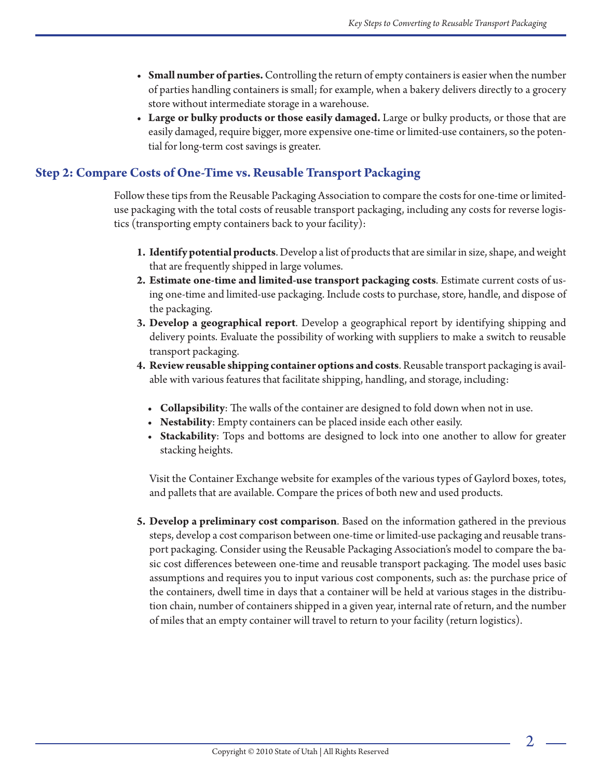- **• Small number of parties.** Controlling the return of empty containers is easier when the number of parties handling containers is small; for example, when a bakery delivers directly to a grocery store without intermediate storage in a warehouse.
- **• Large or bulky products or those easily damaged.** Large or bulky products, or those that are easily damaged, require bigger, more expensive one-time or limited-use containers, so the potential for long-term cost savings is greater.

#### **Step 2: Compare Costs of One-Time vs. Reusable Transport Packaging**

Follow these tips from the Reusable Packaging Association to compare the costs for one-time or limiteduse packaging with the total costs of reusable transport packaging, including any costs for reverse logistics (transporting empty containers back to your facility):

- **1. Identify potential products**. Develop a list of products that are similar in size, shape, and weight that are frequently shipped in large volumes.
- **2. Estimate one-time and limited-use transport packaging costs**. Estimate current costs of using one-time and limited-use packaging. Include costs to purchase, store, handle, and dispose of the packaging.
- **3. Develop a geographical report**. Develop a geographical report by identifying shipping and delivery points. Evaluate the possibility of working with suppliers to make a switch to reusable transport packaging.
- **4. Review reusable shipping container options and costs**. Reusable transport packaging is available with various features that facilitate shipping, handling, and storage, including:
	- **• Collapsibility**: The walls of the container are designed to fold down when not in use.
	- **• Nestability**: Empty containers can be placed inside each other easily.
	- **• Stackability**: Tops and bottoms are designed to lock into one another to allow for greater stacking heights.

Visit the Container Exchange website for examples of the various types of Gaylord boxes, totes, and pallets that are available. Compare the prices of both new and used products.

**5. Develop a preliminary cost comparison**. Based on the information gathered in the previous steps, develop a cost comparison between one-time or limited-use packaging and reusable transport packaging. Consider using the Reusable Packaging Association's model to compare the basic cost differences beteween one-time and reusable transport packaging. The model uses basic assumptions and requires you to input various cost components, such as: the purchase price of the containers, dwell time in days that a container will be held at various stages in the distribution chain, number of containers shipped in a given year, internal rate of return, and the number of miles that an empty container will travel to return to your facility (return logistics).